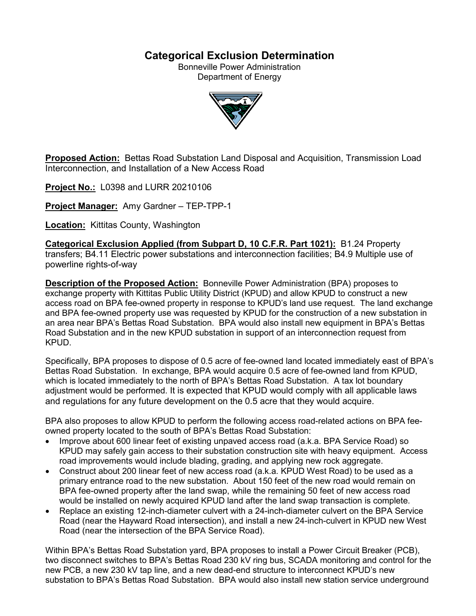# **Categorical Exclusion Determination**

Bonneville Power Administration Department of Energy



**Proposed Action:** Bettas Road Substation Land Disposal and Acquisition, Transmission Load Interconnection, and Installation of a New Access Road

**Project No.:** L0398 and LURR 20210106

**Project Manager:** Amy Gardner – TEP-TPP-1

**Location:** Kittitas County, Washington

**Categorical Exclusion Applied (from Subpart D, 10 C.F.R. Part 1021):** B1.24 Property transfers; B4.11 Electric power substations and interconnection facilities; B4.9 Multiple use of powerline rights-of-way

**Description of the Proposed Action:** Bonneville Power Administration (BPA) proposes to exchange property with Kittitas Public Utility District (KPUD) and allow KPUD to construct a new access road on BPA fee-owned property in response to KPUD's land use request. The land exchange and BPA fee-owned property use was requested by KPUD for the construction of a new substation in an area near BPA's Bettas Road Substation. BPA would also install new equipment in BPA's Bettas Road Substation and in the new KPUD substation in support of an interconnection request from KPUD.

Specifically, BPA proposes to dispose of 0.5 acre of fee-owned land located immediately east of BPA's Bettas Road Substation. In exchange, BPA would acquire 0.5 acre of fee-owned land from KPUD, which is located immediately to the north of BPA's Bettas Road Substation. A tax lot boundary adjustment would be performed. It is expected that KPUD would comply with all applicable laws and regulations for any future development on the 0.5 acre that they would acquire.

BPA also proposes to allow KPUD to perform the following access road-related actions on BPA feeowned property located to the south of BPA's Bettas Road Substation:

- Improve about 600 linear feet of existing unpaved access road (a.k.a. BPA Service Road) so KPUD may safely gain access to their substation construction site with heavy equipment. Access road improvements would include blading, grading, and applying new rock aggregate.
- Construct about 200 linear feet of new access road (a.k.a. KPUD West Road) to be used as a primary entrance road to the new substation. About 150 feet of the new road would remain on BPA fee-owned property after the land swap, while the remaining 50 feet of new access road would be installed on newly acquired KPUD land after the land swap transaction is complete.
- Replace an existing 12-inch-diameter culvert with a 24-inch-diameter culvert on the BPA Service Road (near the Hayward Road intersection), and install a new 24-inch-culvert in KPUD new West Road (near the intersection of the BPA Service Road).

Within BPA's Bettas Road Substation yard, BPA proposes to install a Power Circuit Breaker (PCB), two disconnect switches to BPA's Bettas Road 230 kV ring bus, SCADA monitoring and control for the new PCB, a new 230 kV tap line, and a new dead-end structure to interconnect KPUD's new substation to BPA's Bettas Road Substation. BPA would also install new station service underground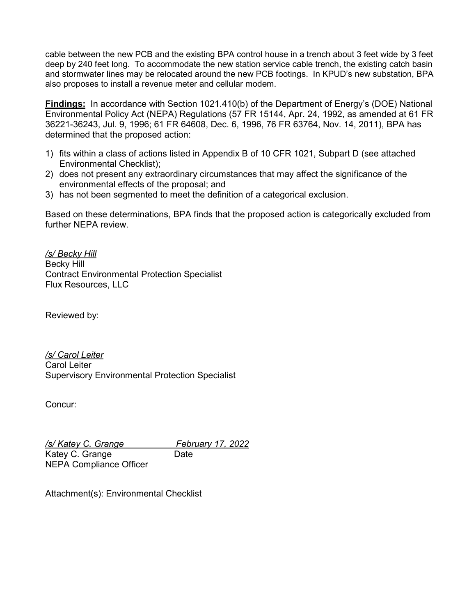cable between the new PCB and the existing BPA control house in a trench about 3 feet wide by 3 feet deep by 240 feet long. To accommodate the new station service cable trench, the existing catch basin and stormwater lines may be relocated around the new PCB footings. In KPUD's new substation, BPA also proposes to install a revenue meter and cellular modem.

**Findings:** In accordance with Section 1021.410(b) of the Department of Energy's (DOE) National Environmental Policy Act (NEPA) Regulations (57 FR 15144, Apr. 24, 1992, as amended at 61 FR 36221-36243, Jul. 9, 1996; 61 FR 64608, Dec. 6, 1996, 76 FR 63764, Nov. 14, 2011), BPA has determined that the proposed action:

- 1) fits within a class of actions listed in Appendix B of 10 CFR 1021, Subpart D (see attached Environmental Checklist);
- 2) does not present any extraordinary circumstances that may affect the significance of the environmental effects of the proposal; and
- 3) has not been segmented to meet the definition of a categorical exclusion.

Based on these determinations, BPA finds that the proposed action is categorically excluded from further NFPA review

*/s/ Becky Hill* Becky Hill Contract Environmental Protection Specialist Flux Resources, LLC

Reviewed by:

*/s/ Carol Leiter* Carol Leiter Supervisory Environmental Protection Specialist

Concur:

*/s/ Katey C. Grange February 17, 2022* Katey C. Grange Date NEPA Compliance Officer

Attachment(s): Environmental Checklist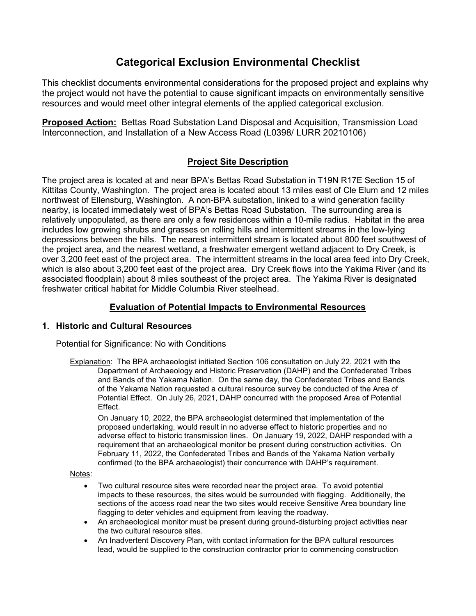# **Categorical Exclusion Environmental Checklist**

This checklist documents environmental considerations for the proposed project and explains why the project would not have the potential to cause significant impacts on environmentally sensitive resources and would meet other integral elements of the applied categorical exclusion.

**Proposed Action:** Bettas Road Substation Land Disposal and Acquisition, Transmission Load Interconnection, and Installation of a New Access Road (L0398/ LURR 20210106)

# **Project Site Description**

The project area is located at and near BPA's Bettas Road Substation in T19N R17E Section 15 of Kittitas County, Washington. The project area is located about 13 miles east of Cle Elum and 12 miles northwest of Ellensburg, Washington. A non-BPA substation, linked to a wind generation facility nearby, is located immediately west of BPA's Bettas Road Substation. The surrounding area is relatively unpopulated, as there are only a few residences within a 10-mile radius. Habitat in the area includes low growing shrubs and grasses on rolling hills and intermittent streams in the low-lying depressions between the hills. The nearest intermittent stream is located about 800 feet southwest of the project area, and the nearest wetland, a freshwater emergent wetland adjacent to Dry Creek, is over 3,200 feet east of the project area. The intermittent streams in the local area feed into Dry Creek, which is also about 3,200 feet east of the project area. Dry Creek flows into the Yakima River (and its associated floodplain) about 8 miles southeast of the project area. The Yakima River is designated freshwater critical habitat for Middle Columbia River steelhead.

# **Evaluation of Potential Impacts to Environmental Resources**

# **1. Historic and Cultural Resources**

Potential for Significance: No with Conditions

Explanation: The BPA archaeologist initiated Section 106 consultation on July 22, 2021 with the Department of Archaeology and Historic Preservation (DAHP) and the Confederated Tribes and Bands of the Yakama Nation. On the same day, the Confederated Tribes and Bands of the Yakama Nation requested a cultural resource survey be conducted of the Area of Potential Effect. On July 26, 2021, DAHP concurred with the proposed Area of Potential Effect.

On January 10, 2022, the BPA archaeologist determined that implementation of the proposed undertaking, would result in no adverse effect to historic properties and no adverse effect to historic transmission lines. On January 19, 2022, DAHP responded with a requirement that an archaeological monitor be present during construction activities. On February 11, 2022, the Confederated Tribes and Bands of the Yakama Nation verbally confirmed (to the BPA archaeologist) their concurrence with DAHP's requirement.

Notes:

- Two cultural resource sites were recorded near the project area. To avoid potential impacts to these resources, the sites would be surrounded with flagging. Additionally, the sections of the access road near the two sites would receive Sensitive Area boundary line flagging to deter vehicles and equipment from leaving the roadway.
- An archaeological monitor must be present during ground-disturbing project activities near the two cultural resource sites.
- An Inadvertent Discovery Plan, with contact information for the BPA cultural resources lead, would be supplied to the construction contractor prior to commencing construction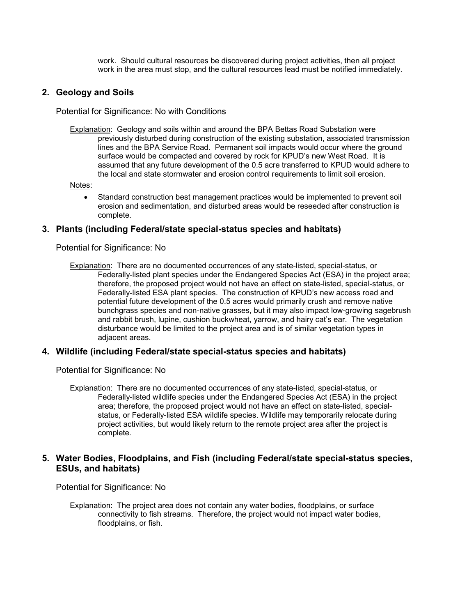work. Should cultural resources be discovered during project activities, then all project work in the area must stop, and the cultural resources lead must be notified immediately.

## **2. Geology and Soils**

Potential for Significance: No with Conditions

Explanation: Geology and soils within and around the BPA Bettas Road Substation were previously disturbed during construction of the existing substation, associated transmission lines and the BPA Service Road. Permanent soil impacts would occur where the ground surface would be compacted and covered by rock for KPUD's new West Road. It is assumed that any future development of the 0.5 acre transferred to KPUD would adhere to the local and state stormwater and erosion control requirements to limit soil erosion.

Notes:

• Standard construction best management practices would be implemented to prevent soil erosion and sedimentation, and disturbed areas would be reseeded after construction is complete.

## **3. Plants (including Federal/state special-status species and habitats)**

Potential for Significance: No

Explanation: There are no documented occurrences of any state-listed, special-status, or Federally-listed plant species under the Endangered Species Act (ESA) in the project area; therefore, the proposed project would not have an effect on state-listed, special-status, or Federally-listed ESA plant species. The construction of KPUD's new access road and potential future development of the 0.5 acres would primarily crush and remove native bunchgrass species and non-native grasses, but it may also impact low-growing sagebrush and rabbit brush, lupine, cushion buckwheat, yarrow, and hairy cat's ear. The vegetation disturbance would be limited to the project area and is of similar vegetation types in adjacent areas.

## **4. Wildlife (including Federal/state special-status species and habitats)**

Potential for Significance: No

Explanation: There are no documented occurrences of any state-listed, special-status, or Federally-listed wildlife species under the Endangered Species Act (ESA) in the project area; therefore, the proposed project would not have an effect on state-listed, specialstatus, or Federally-listed ESA wildlife species. Wildlife may temporarily relocate during project activities, but would likely return to the remote project area after the project is complete.

## **5. Water Bodies, Floodplains, and Fish (including Federal/state special-status species, ESUs, and habitats)**

Potential for Significance: No

Explanation: The project area does not contain any water bodies, floodplains, or surface connectivity to fish streams. Therefore, the project would not impact water bodies, floodplains, or fish.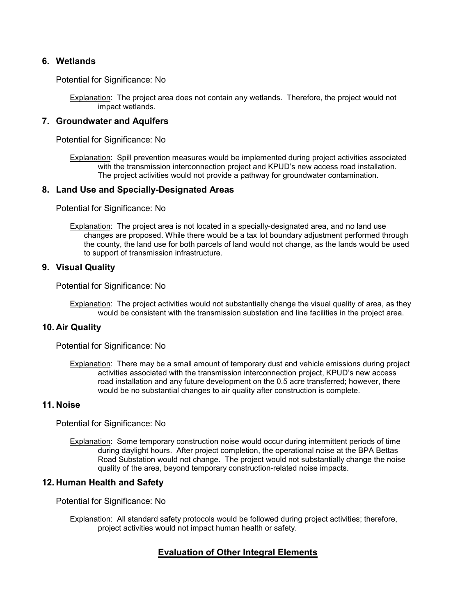#### **6. Wetlands**

Potential for Significance: No

Explanation: The project area does not contain any wetlands. Therefore, the project would not impact wetlands.

#### **7. Groundwater and Aquifers**

Potential for Significance: No

Explanation: Spill prevention measures would be implemented during project activities associated with the transmission interconnection project and KPUD's new access road installation. The project activities would not provide a pathway for groundwater contamination.

#### **8. Land Use and Specially-Designated Areas**

Potential for Significance: No

Explanation: The project area is not located in a specially-designated area, and no land use changes are proposed. While there would be a tax lot boundary adjustment performed through the county, the land use for both parcels of land would not change, as the lands would be used to support of transmission infrastructure.

#### **9. Visual Quality**

Potential for Significance: No

Explanation: The project activities would not substantially change the visual quality of area, as they would be consistent with the transmission substation and line facilities in the project area.

#### **10. Air Quality**

Potential for Significance: No

Explanation: There may be a small amount of temporary dust and vehicle emissions during project activities associated with the transmission interconnection project, KPUD's new access road installation and any future development on the 0.5 acre transferred; however, there would be no substantial changes to air quality after construction is complete.

#### **11. Noise**

Potential for Significance: No

Explanation: Some temporary construction noise would occur during intermittent periods of time during daylight hours. After project completion, the operational noise at the BPA Bettas Road Substation would not change. The project would not substantially change the noise quality of the area, beyond temporary construction-related noise impacts.

## **12. Human Health and Safety**

Potential for Significance: No

Explanation: All standard safety protocols would be followed during project activities; therefore, project activities would not impact human health or safety.

## **Evaluation of Other Integral Elements**